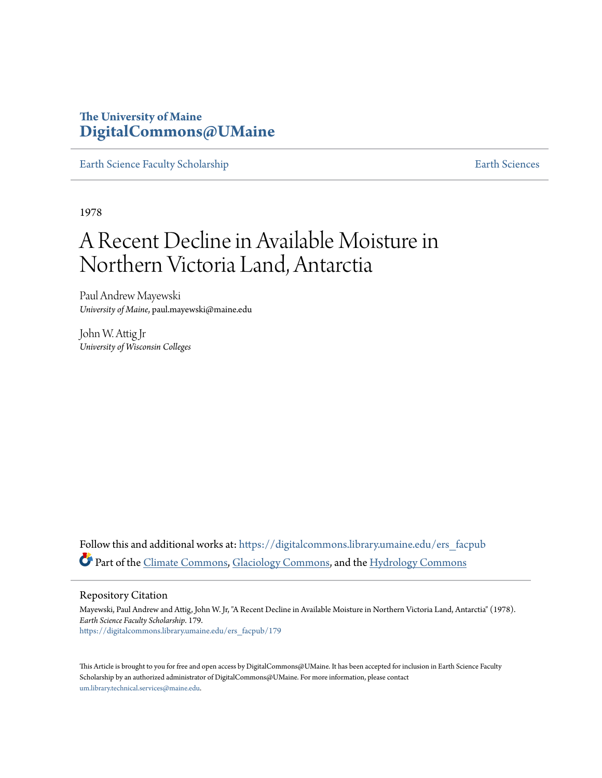# **The University of Maine [DigitalCommons@UMaine](https://digitalcommons.library.umaine.edu?utm_source=digitalcommons.library.umaine.edu%2Fers_facpub%2F179&utm_medium=PDF&utm_campaign=PDFCoverPages)**

[Earth Science Faculty Scholarship](https://digitalcommons.library.umaine.edu/ers_facpub?utm_source=digitalcommons.library.umaine.edu%2Fers_facpub%2F179&utm_medium=PDF&utm_campaign=PDFCoverPages) **[Earth Sciences](https://digitalcommons.library.umaine.edu/ers?utm_source=digitalcommons.library.umaine.edu%2Fers_facpub%2F179&utm_medium=PDF&utm_campaign=PDFCoverPages)** 

1978

# A Recent Decline in Available Moisture in Northern Victoria Land, Antarctia

Paul Andrew Mayewski *University of Maine*, paul.mayewski@maine.edu

John W. Attig Jr *University of Wisconsin Colleges*

Follow this and additional works at: [https://digitalcommons.library.umaine.edu/ers\\_facpub](https://digitalcommons.library.umaine.edu/ers_facpub?utm_source=digitalcommons.library.umaine.edu%2Fers_facpub%2F179&utm_medium=PDF&utm_campaign=PDFCoverPages) Part of the [Climate Commons,](http://network.bepress.com/hgg/discipline/188?utm_source=digitalcommons.library.umaine.edu%2Fers_facpub%2F179&utm_medium=PDF&utm_campaign=PDFCoverPages) [Glaciology Commons](http://network.bepress.com/hgg/discipline/159?utm_source=digitalcommons.library.umaine.edu%2Fers_facpub%2F179&utm_medium=PDF&utm_campaign=PDFCoverPages), and the [Hydrology Commons](http://network.bepress.com/hgg/discipline/1054?utm_source=digitalcommons.library.umaine.edu%2Fers_facpub%2F179&utm_medium=PDF&utm_campaign=PDFCoverPages)

Repository Citation

Mayewski, Paul Andrew and Attig, John W. Jr, "A Recent Decline in Available Moisture in Northern Victoria Land, Antarctia" (1978). *Earth Science Faculty Scholarship*. 179. [https://digitalcommons.library.umaine.edu/ers\\_facpub/179](https://digitalcommons.library.umaine.edu/ers_facpub/179?utm_source=digitalcommons.library.umaine.edu%2Fers_facpub%2F179&utm_medium=PDF&utm_campaign=PDFCoverPages)

This Article is brought to you for free and open access by DigitalCommons@UMaine. It has been accepted for inclusion in Earth Science Faculty Scholarship by an authorized administrator of DigitalCommons@UMaine. For more information, please contact [um.library.technical.services@maine.edu](mailto:um.library.technical.services@maine.edu).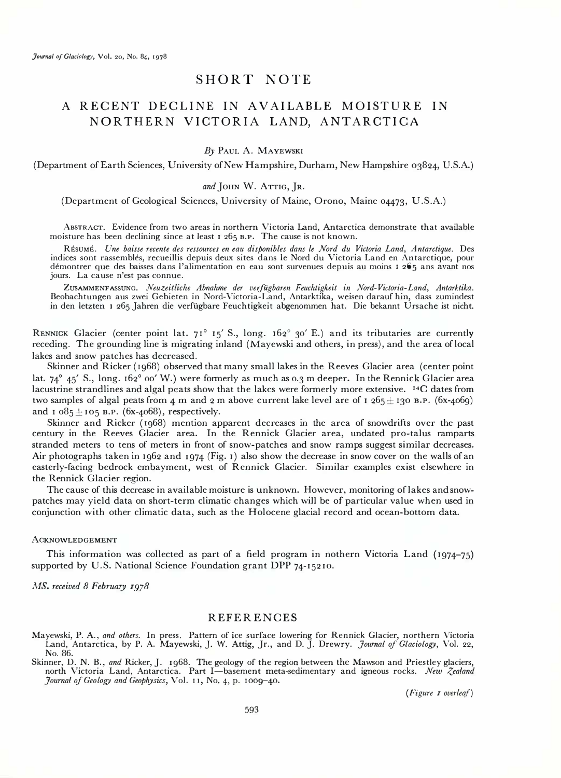### SHORT NOTE

## A RECENT DECLINE IN AVAILABLE MOISTURE IN NORTHERN VICTORIA LAND, ANTARCTICA

#### By PAUL A. MAYEWSKI

(Department of Earth Sciences, University of New Hampshire, Durham, New Hampshire 03824, U.S.A.)

#### and JOHN W. ATTIG, JR.

(Department of Geological Sciences, University of Maine, Orono, Maine 04473, U.S.A.)

ABSTRACT. Evidence from two areas in northern Victoria Land, Antarctica demonstrate that available moisture has been declining since at least 1 265 B.P. The cause is not known.

REsuME. Une baisse recente des ressources en eau disponibles dans le Nord du Victoria Land, Antarctique. Des indices sont rassembles, recueillis depuis deux sites dans le Nord du Victoria Land en Antarctique, pour demontrer que des baisses dans l'alimentation en eau sont survenues depuis au moins 1 265 ans avant nos jours. La cause n'est pas connue.

ZUSAMMENFASSUNG. Neuzeitliche Abnahme der verfugbaren Feuchtigkeit in Nord-Victoria-Land, Antarktika. Beobachtungen aus zwei Gebieten in Nord-Victoria-Land, Antarktika, weisen darauf hin, dass zumindest in den letzten 1 265 Jahren die verfiigbare Feuchtigkeit abgenommen hat. Die bekannt Ursache ist nicht.

RENNICK Glacier (center point lat. 71° 15' S., long. 162° 30' E.) and its tributaries are currently receding. The grounding line is migrating inland (Mayewski and others, in press), and the area of local lakes and snow patches has decreased.

Skinner and Ricker (1968) observed that many small lakes in the Reeves Glacier area (center point lat.  $74^{\circ}$  45' S., long. 162° 00' W.) were formerly as much as 0.3 m deeper. In the Rennick Glacier area lacustrine strandlines and algal peats show that the lakes were formerly more extensive. 14C dates from two samples of algal peats from 4 m and 2 m above current lake level are of 1 265  $\pm$  130 B.P. (6x-4069) and  $1.085 \pm 105$  B.P. (6x-4068), respectively.

Skinner and Ricker (1968) mention apparent decreases in the area of snowdrifts over the past century in the Reeves Glacier area. In the Rennick Glacier area, undated pro-talus ramparts stranded meters to tens of meters in front of snow-patches and snow ramps suggest similar decreases. Air photographs taken in 1962 and 1974 (Fig. I) also show the decrease in snow cover on the walls of an easterly-facing bedrock embayment, west of Rennick Glacier. Similar examples exist elsewhere in the Rennick Glacier region.

The cause of this decrease in available moisture is unknown. However, monitoring of lakes and snowpatches may yield data on short-term climatic changes which will be of particular value when used in conjunction with other climatic data, such as the Holocene glacial record and ocean-bottom data.

#### **ACKNOWLEDGEMENT**

This information was collected as part of a field program in nothern Victoria Land (1974-75) supported by U.S. National Science Foundation grant DPP 74-15210.

MS. received 8 February 1978

#### **REFERENCES**

Mayewski, P. A., *and others*. In press. Pattern of ice surface lowering for Rennick Glacier, northern Victoria<br>Land, Antarctica, by P. A. Mayewski, J. W. Attig, Jr., and D. J. Drewry. *Journal of Glaciology*, Vol. 22, No. 86.

Skinner, D. N. B., and Ricker, J. 1968. The geology of the region between the Mawson and Priestley glaciers, north Victoria Land, Antarctica. Part I—basement meta-sedimentary and igneous rocks. New Zealand Journal of Geology and Geophysics, Vo!. 11, No. 4, p. 100g-40.

(Figure 1 overleaf)